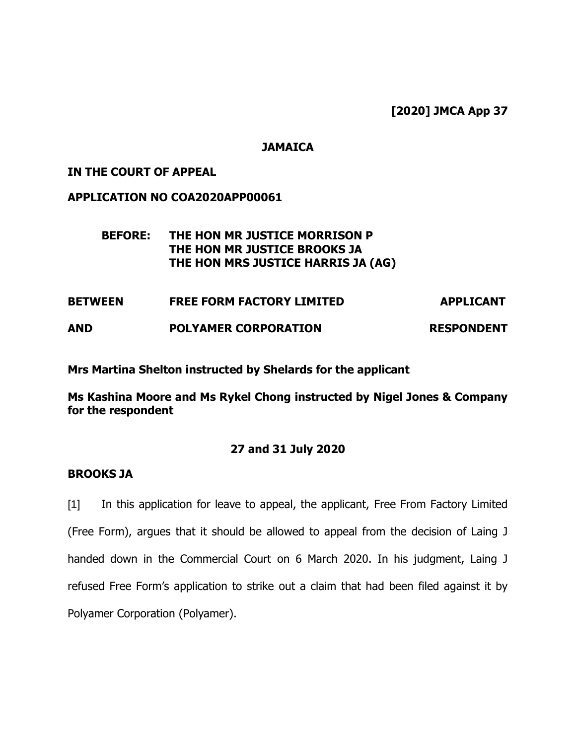**[2020] JMCA App 37**

## **JAMAICA**

## **IN THE COURT OF APPEAL**

### **APPLICATION NO COA2020APP00061**

## **BEFORE: THE HON MR JUSTICE MORRISON P THE HON MR JUSTICE BROOKS JA THE HON MRS JUSTICE HARRIS JA (AG)**

| <b>BETWEEN</b> | <b>FREE FORM FACTORY LIMITED</b> | <b>APPLICANT</b>  |
|----------------|----------------------------------|-------------------|
| <b>AND</b>     | <b>POLYAMER CORPORATION</b>      | <b>RESPONDENT</b> |

**Mrs Martina Shelton instructed by Shelards for the applicant**

**Ms Kashina Moore and Ms Rykel Chong instructed by Nigel Jones & Company for the respondent**

## **27 and 31 July 2020**

#### **BROOKS JA**

[1] In this application for leave to appeal, the applicant, Free From Factory Limited (Free Form), argues that it should be allowed to appeal from the decision of Laing J handed down in the Commercial Court on 6 March 2020. In his judgment, Laing J refused Free Form's application to strike out a claim that had been filed against it by Polyamer Corporation (Polyamer).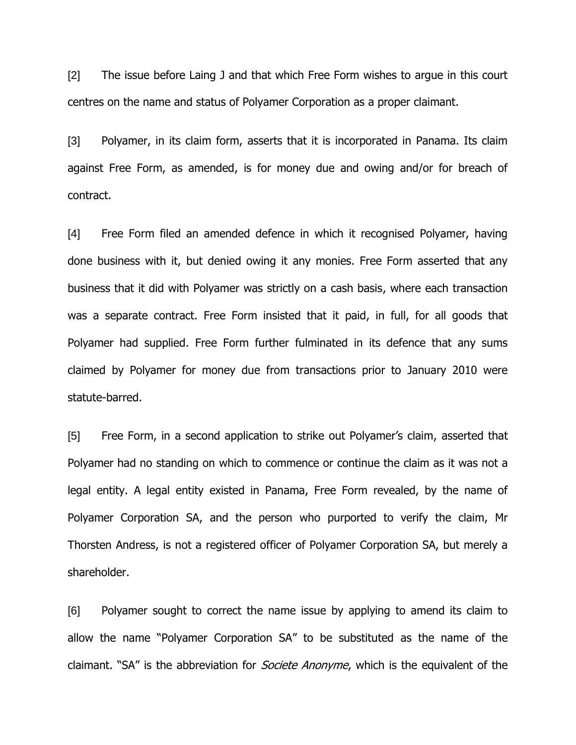[2] The issue before Laing J and that which Free Form wishes to argue in this court centres on the name and status of Polyamer Corporation as a proper claimant.

[3] Polyamer, in its claim form, asserts that it is incorporated in Panama. Its claim against Free Form, as amended, is for money due and owing and/or for breach of contract.

[4] Free Form filed an amended defence in which it recognised Polyamer, having done business with it, but denied owing it any monies. Free Form asserted that any business that it did with Polyamer was strictly on a cash basis, where each transaction was a separate contract. Free Form insisted that it paid, in full, for all goods that Polyamer had supplied. Free Form further fulminated in its defence that any sums claimed by Polyamer for money due from transactions prior to January 2010 were statute-barred.

[5] Free Form, in a second application to strike out Polyamer's claim, asserted that Polyamer had no standing on which to commence or continue the claim as it was not a legal entity. A legal entity existed in Panama, Free Form revealed, by the name of Polyamer Corporation SA, and the person who purported to verify the claim, Mr Thorsten Andress, is not a registered officer of Polyamer Corporation SA, but merely a shareholder.

[6] Polyamer sought to correct the name issue by applying to amend its claim to allow the name "Polyamer Corporation SA" to be substituted as the name of the claimant. "SA" is the abbreviation for *Societe Anonyme*, which is the equivalent of the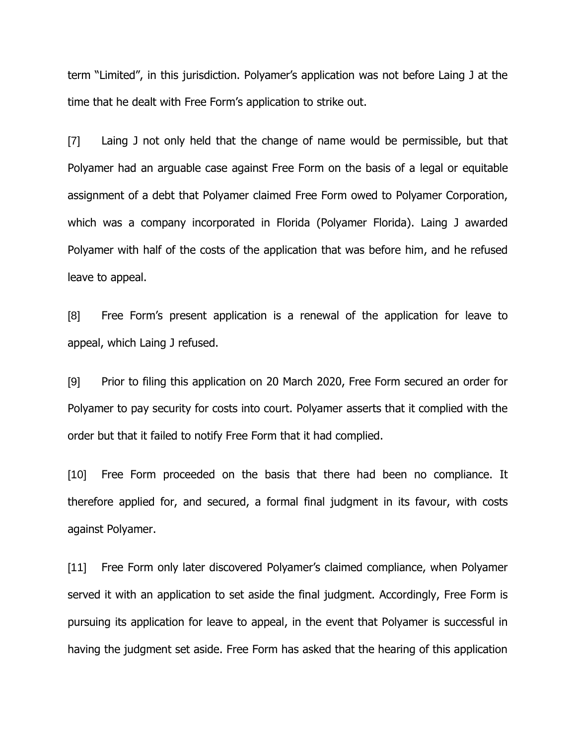term "Limited", in this jurisdiction. Polyamer's application was not before Laing J at the time that he dealt with Free Form's application to strike out.

[7] Laing J not only held that the change of name would be permissible, but that Polyamer had an arguable case against Free Form on the basis of a legal or equitable assignment of a debt that Polyamer claimed Free Form owed to Polyamer Corporation, which was a company incorporated in Florida (Polyamer Florida). Laing J awarded Polyamer with half of the costs of the application that was before him, and he refused leave to appeal.

[8] Free Form's present application is a renewal of the application for leave to appeal, which Laing J refused.

[9] Prior to filing this application on 20 March 2020, Free Form secured an order for Polyamer to pay security for costs into court. Polyamer asserts that it complied with the order but that it failed to notify Free Form that it had complied.

[10] Free Form proceeded on the basis that there had been no compliance. It therefore applied for, and secured, a formal final judgment in its favour, with costs against Polyamer.

[11] Free Form only later discovered Polyamer's claimed compliance, when Polyamer served it with an application to set aside the final judgment. Accordingly, Free Form is pursuing its application for leave to appeal, in the event that Polyamer is successful in having the judgment set aside. Free Form has asked that the hearing of this application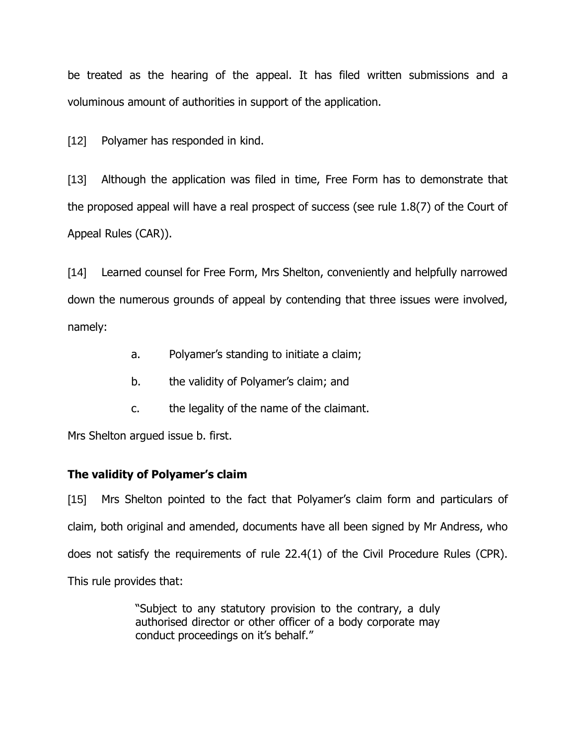be treated as the hearing of the appeal. It has filed written submissions and a voluminous amount of authorities in support of the application.

[12] Polyamer has responded in kind.

[13] Although the application was filed in time, Free Form has to demonstrate that the proposed appeal will have a real prospect of success (see rule 1.8(7) of the Court of Appeal Rules (CAR)).

[14] Learned counsel for Free Form, Mrs Shelton, conveniently and helpfully narrowed down the numerous grounds of appeal by contending that three issues were involved, namely:

- a. Polyamer's standing to initiate a claim;
- b. the validity of Polyamer's claim; and
- c. the legality of the name of the claimant.

Mrs Shelton argued issue b. first.

# **The validity of Polyamer's claim**

[15] Mrs Shelton pointed to the fact that Polyamer's claim form and particulars of claim, both original and amended, documents have all been signed by Mr Andress, who does not satisfy the requirements of rule 22.4(1) of the Civil Procedure Rules (CPR). This rule provides that:

> "Subject to any statutory provision to the contrary, a duly authorised director or other officer of a body corporate may conduct proceedings on it's behalf."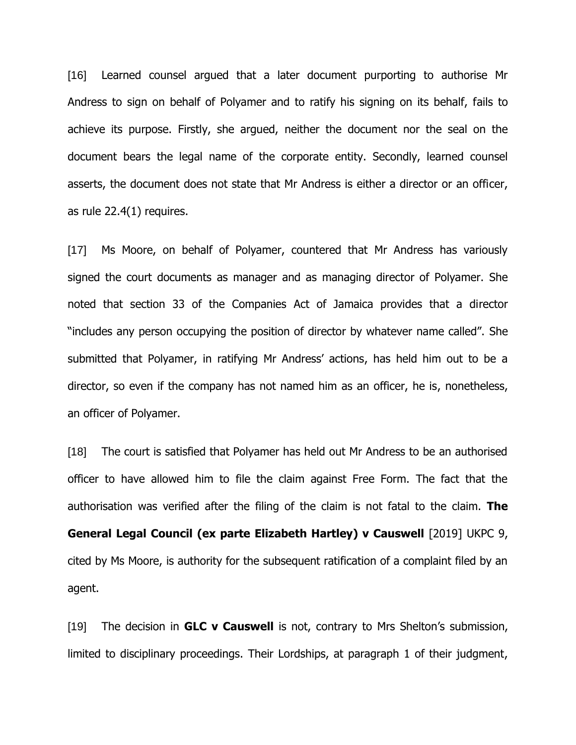[16] Learned counsel argued that a later document purporting to authorise Mr Andress to sign on behalf of Polyamer and to ratify his signing on its behalf, fails to achieve its purpose. Firstly, she argued, neither the document nor the seal on the document bears the legal name of the corporate entity. Secondly, learned counsel asserts, the document does not state that Mr Andress is either a director or an officer, as rule 22.4(1) requires.

[17] Ms Moore, on behalf of Polyamer, countered that Mr Andress has variously signed the court documents as manager and as managing director of Polyamer. She noted that section 33 of the Companies Act of Jamaica provides that a director "includes any person occupying the position of director by whatever name called". She submitted that Polyamer, in ratifying Mr Andress' actions, has held him out to be a director, so even if the company has not named him as an officer, he is, nonetheless, an officer of Polyamer.

[18] The court is satisfied that Polyamer has held out Mr Andress to be an authorised officer to have allowed him to file the claim against Free Form. The fact that the authorisation was verified after the filing of the claim is not fatal to the claim. **The General Legal Council (ex parte Elizabeth Hartley) v Causwell** [2019] UKPC 9, cited by Ms Moore, is authority for the subsequent ratification of a complaint filed by an agent.

[19] The decision in **GLC v Causwell** is not, contrary to Mrs Shelton's submission, limited to disciplinary proceedings. Their Lordships, at paragraph 1 of their judgment,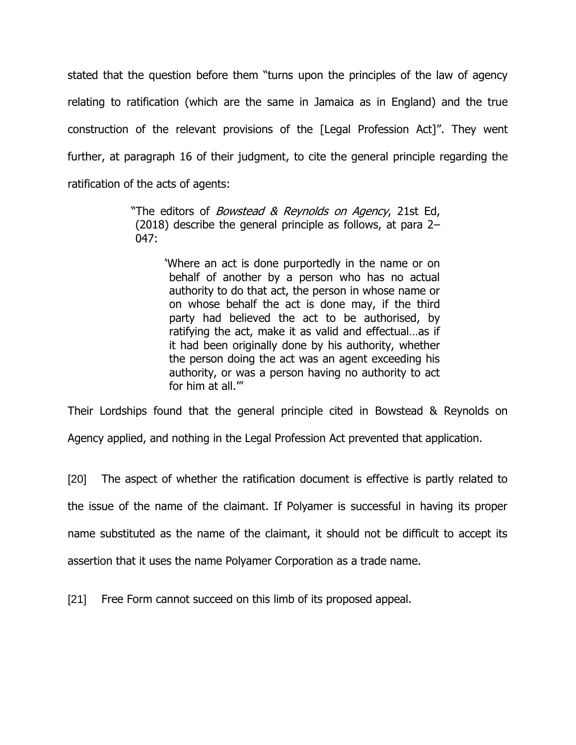stated that the question before them "turns upon the principles of the law of agency relating to ratification (which are the same in Jamaica as in England) and the true construction of the relevant provisions of the [Legal Profession Act]". They went further, at paragraph 16 of their judgment, to cite the general principle regarding the ratification of the acts of agents:

> "The editors of *Bowstead & Reynolds on Agency*, 21st Ed, (2018) describe the general principle as follows, at para 2– 047:

> > 'Where an act is done purportedly in the name or on behalf of another by a person who has no actual authority to do that act, the person in whose name or on whose behalf the act is done may, if the third party had believed the act to be authorised, by ratifying the act, make it as valid and effectual…as if it had been originally done by his authority, whether the person doing the act was an agent exceeding his authority, or was a person having no authority to act for him at all.'"

Their Lordships found that the general principle cited in Bowstead & Reynolds on Agency applied, and nothing in the Legal Profession Act prevented that application.

[20] The aspect of whether the ratification document is effective is partly related to the issue of the name of the claimant. If Polyamer is successful in having its proper name substituted as the name of the claimant, it should not be difficult to accept its assertion that it uses the name Polyamer Corporation as a trade name.

[21] Free Form cannot succeed on this limb of its proposed appeal.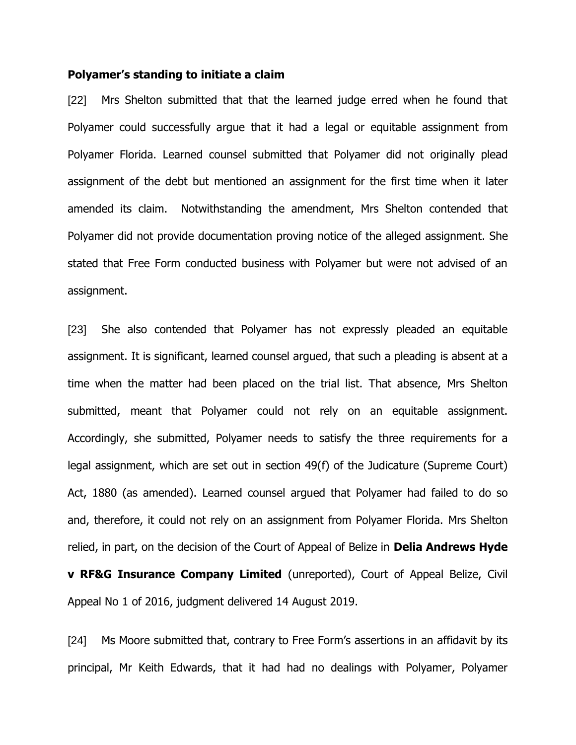#### **Polyamer's standing to initiate a claim**

[22] Mrs Shelton submitted that that the learned judge erred when he found that Polyamer could successfully argue that it had a legal or equitable assignment from Polyamer Florida. Learned counsel submitted that Polyamer did not originally plead assignment of the debt but mentioned an assignment for the first time when it later amended its claim. Notwithstanding the amendment, Mrs Shelton contended that Polyamer did not provide documentation proving notice of the alleged assignment. She stated that Free Form conducted business with Polyamer but were not advised of an assignment.

[23] She also contended that Polyamer has not expressly pleaded an equitable assignment. It is significant, learned counsel argued, that such a pleading is absent at a time when the matter had been placed on the trial list. That absence, Mrs Shelton submitted, meant that Polyamer could not rely on an equitable assignment. Accordingly, she submitted, Polyamer needs to satisfy the three requirements for a legal assignment, which are set out in section 49(f) of the Judicature (Supreme Court) Act, 1880 (as amended). Learned counsel argued that Polyamer had failed to do so and, therefore, it could not rely on an assignment from Polyamer Florida. Mrs Shelton relied, in part, on the decision of the Court of Appeal of Belize in **Delia Andrews Hyde v RF&G Insurance Company Limited** (unreported), Court of Appeal Belize, Civil Appeal No 1 of 2016, judgment delivered 14 August 2019.

[24] Ms Moore submitted that, contrary to Free Form's assertions in an affidavit by its principal, Mr Keith Edwards, that it had had no dealings with Polyamer, Polyamer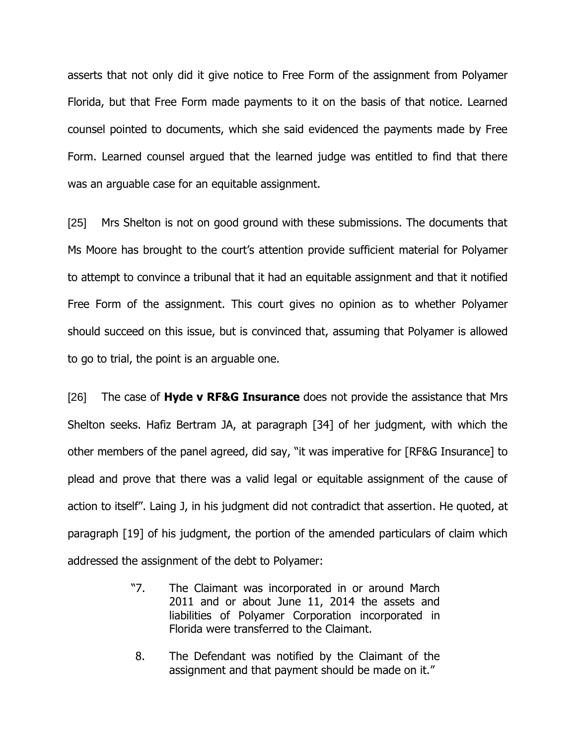asserts that not only did it give notice to Free Form of the assignment from Polyamer Florida, but that Free Form made payments to it on the basis of that notice. Learned counsel pointed to documents, which she said evidenced the payments made by Free Form. Learned counsel argued that the learned judge was entitled to find that there was an arguable case for an equitable assignment.

[25] Mrs Shelton is not on good ground with these submissions. The documents that Ms Moore has brought to the court's attention provide sufficient material for Polyamer to attempt to convince a tribunal that it had an equitable assignment and that it notified Free Form of the assignment. This court gives no opinion as to whether Polyamer should succeed on this issue, but is convinced that, assuming that Polyamer is allowed to go to trial, the point is an arguable one.

[26] The case of **Hyde v RF&G Insurance** does not provide the assistance that Mrs Shelton seeks. Hafiz Bertram JA, at paragraph [34] of her judgment, with which the other members of the panel agreed, did say, "it was imperative for [RF&G Insurance] to plead and prove that there was a valid legal or equitable assignment of the cause of action to itself". Laing J, in his judgment did not contradict that assertion. He quoted, at paragraph [19] of his judgment, the portion of the amended particulars of claim which addressed the assignment of the debt to Polyamer:

- "7. The Claimant was incorporated in or around March 2011 and or about June 11, 2014 the assets and liabilities of Polyamer Corporation incorporated in Florida were transferred to the Claimant.
- 8. The Defendant was notified by the Claimant of the assignment and that payment should be made on it."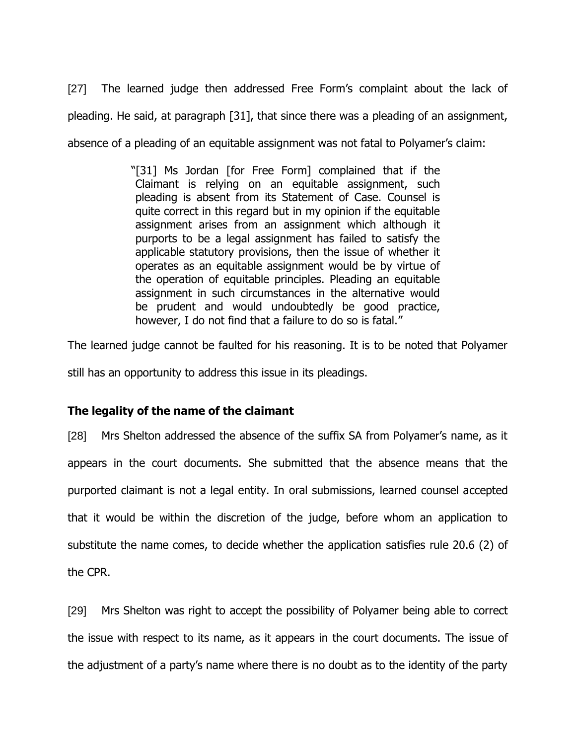[27] The learned judge then addressed Free Form's complaint about the lack of pleading. He said, at paragraph [31], that since there was a pleading of an assignment, absence of a pleading of an equitable assignment was not fatal to Polyamer's claim:

> "[31] Ms Jordan [for Free Form] complained that if the Claimant is relying on an equitable assignment, such pleading is absent from its Statement of Case. Counsel is quite correct in this regard but in my opinion if the equitable assignment arises from an assignment which although it purports to be a legal assignment has failed to satisfy the applicable statutory provisions, then the issue of whether it operates as an equitable assignment would be by virtue of the operation of equitable principles. Pleading an equitable assignment in such circumstances in the alternative would be prudent and would undoubtedly be good practice, however, I do not find that a failure to do so is fatal."

The learned judge cannot be faulted for his reasoning. It is to be noted that Polyamer

still has an opportunity to address this issue in its pleadings.

# **The legality of the name of the claimant**

[28] Mrs Shelton addressed the absence of the suffix SA from Polyamer's name, as it appears in the court documents. She submitted that the absence means that the purported claimant is not a legal entity. In oral submissions, learned counsel accepted that it would be within the discretion of the judge, before whom an application to substitute the name comes, to decide whether the application satisfies rule 20.6 (2) of the CPR.

[29] Mrs Shelton was right to accept the possibility of Polyamer being able to correct the issue with respect to its name, as it appears in the court documents. The issue of the adjustment of a party's name where there is no doubt as to the identity of the party